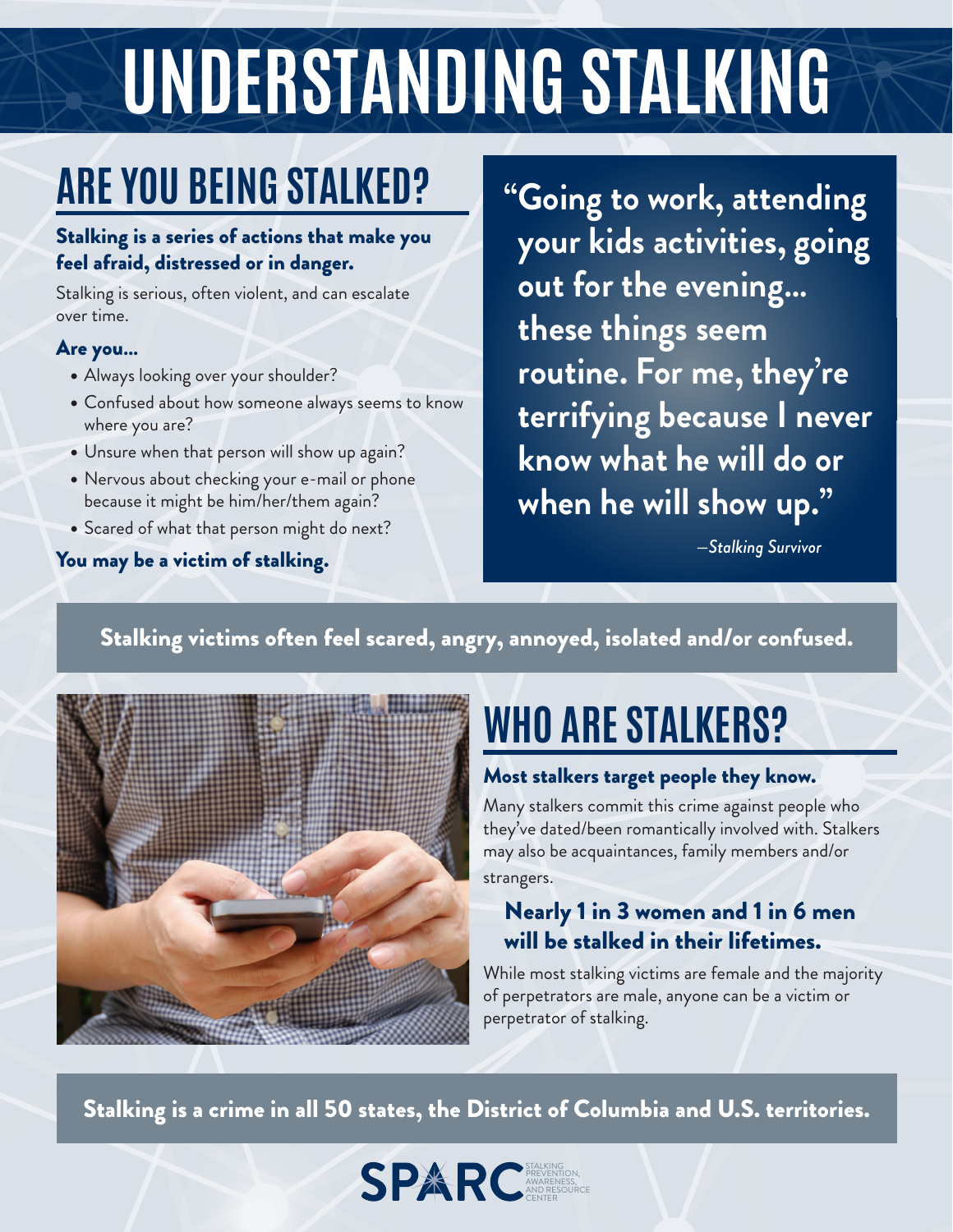# UNDERSTANDING STALKING

### **ARE YOU BEING STALKED?**

#### Stalking is a series of actions that make you feel afraid, distressed or in danger.

Stalking is serious, often violent, and can escalate over time.

#### Are you...

- Always looking over your shoulder?
- **Confused about how someone always seems to know** where you are?
- Unsure when that person will show up again?
- Nervous about checking your e-mail or phone because it might be him/her/them again?
- Scared of what that person might do next?

#### You may be a victim of stalking.

**"Going to work, attending** your kids activities, going out for the evening... these things seem routine. For me, they're  **terrifying because I never know what he will do or** when he will show up."

 $-S$ talking Survivor

#### Stalking victims often feel scared, angry, annoyed, isolated and/or confused.



### **WHO ARE STALKERS?**

#### Most stalkers target people they know.

Many stalkers commit this crime against people who they've dated/been romantically involved with. Stalkers may also be acquaintances, family members and/or strangers.

#### Nearly 1 in 3 women and 1 in 6 men will be stalked in their lifetimes.

While most stalking victims are female and the majority of perpetrators are male, anyone can be a victim or perpetrator of stalking.

Stalking is a crime in all 50 states, the District of Columbia and U.S. territories.